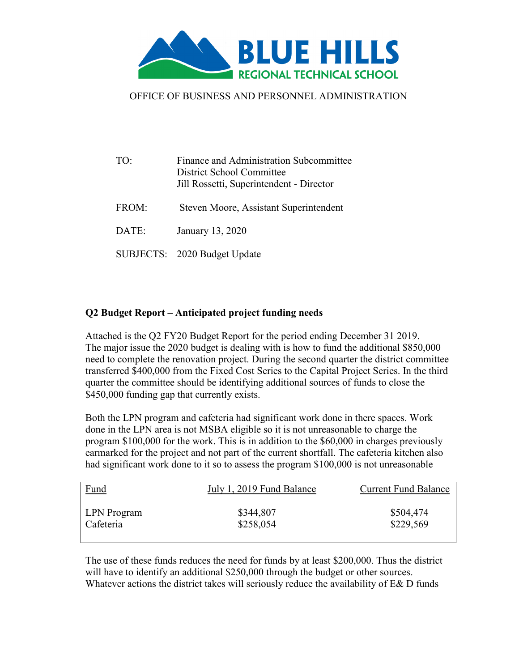

#### OFFICE OF BUSINESS AND PERSONNEL ADMINISTRATION

| TO:   | Finance and Administration Subcommittee<br>District School Committee<br>Jill Rossetti, Superintendent - Director |
|-------|------------------------------------------------------------------------------------------------------------------|
| FROM: | Steven Moore, Assistant Superintendent                                                                           |
| DATE: | January 13, 2020                                                                                                 |
|       | SUBJECTS: 2020 Budget Update                                                                                     |

## **Q2 Budget Report – Anticipated project funding needs**

Attached is the Q2 FY20 Budget Report for the period ending December 31 2019. The major issue the 2020 budget is dealing with is how to fund the additional \$850,000 need to complete the renovation project. During the second quarter the district committee transferred \$400,000 from the Fixed Cost Series to the Capital Project Series. In the third quarter the committee should be identifying additional sources of funds to close the \$450,000 funding gap that currently exists.

Both the LPN program and cafeteria had significant work done in there spaces. Work done in the LPN area is not MSBA eligible so it is not unreasonable to charge the program \$100,000 for the work. This is in addition to the \$60,000 in charges previously earmarked for the project and not part of the current shortfall. The cafeteria kitchen also had significant work done to it so to assess the program \$100,000 is not unreasonable

| <b>Fund</b> | July 1, 2019 Fund Balance | <b>Current Fund Balance</b> |
|-------------|---------------------------|-----------------------------|
| LPN Program | \$344,807                 | \$504,474                   |
| Cafeteria   | \$258,054                 | \$229,569                   |

The use of these funds reduces the need for funds by at least \$200,000. Thus the district will have to identify an additional \$250,000 through the budget or other sources. Whatever actions the district takes will seriously reduce the availability of E& D funds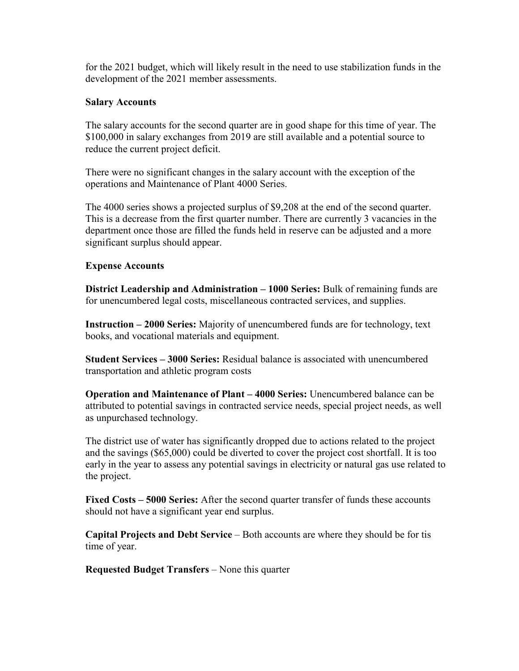for the 2021 budget, which will likely result in the need to use stabilization funds in the development of the 2021 member assessments.

#### **Salary Accounts**

The salary accounts for the second quarter are in good shape for this time of year. The \$100,000 in salary exchanges from 2019 are still available and a potential source to reduce the current project deficit.

There were no significant changes in the salary account with the exception of the operations and Maintenance of Plant 4000 Series.

The 4000 series shows a projected surplus of \$9,208 at the end of the second quarter. This is a decrease from the first quarter number. There are currently 3 vacancies in the department once those are filled the funds held in reserve can be adjusted and a more significant surplus should appear.

#### **Expense Accounts**

**District Leadership and Administration – 1000 Series:** Bulk of remaining funds are for unencumbered legal costs, miscellaneous contracted services, and supplies.

**Instruction – 2000 Series:** Majority of unencumbered funds are for technology, text books, and vocational materials and equipment.

**Student Services – 3000 Series:** Residual balance is associated with unencumbered transportation and athletic program costs

**Operation and Maintenance of Plant – 4000 Series:** Unencumbered balance can be attributed to potential savings in contracted service needs, special project needs, as well as unpurchased technology.

The district use of water has significantly dropped due to actions related to the project and the savings (\$65,000) could be diverted to cover the project cost shortfall. It is too early in the year to assess any potential savings in electricity or natural gas use related to the project.

**Fixed Costs – 5000 Series:** After the second quarter transfer of funds these accounts should not have a significant year end surplus.

**Capital Projects and Debt Service** – Both accounts are where they should be for tis time of year.

**Requested Budget Transfers** – None this quarter